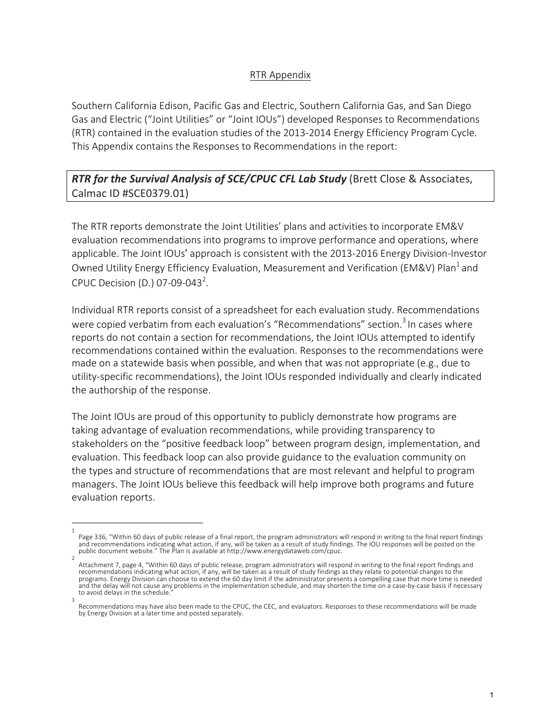## RTR Appendix

Southern California Edison, Pacific Gas and Electric, Southern California Gas, and San Diego Gas and Electric ("Joint Utilities" or "Joint IOUs") developed Responses to Recommendations (RTR) contained in the evaluation studies of the 2013-2014 Energy Efficiency Program Cycle. This Appendix contains the Responses to Recommendations in the report:

## RTR for the Survival Analysis of SCE/CPUC CFL Lab Study (Brett Close & Associates, Calmac ID #SCE0379.01)

The RTR reports demonstrate the Joint Utilities' plans and activities to incorporate EM&V evaluation recommendations into programs to improve performance and operations, where applicable. The Joint IOUs' approach is consistent with the 2013-2016 Energy Division-Investor Owned Utility Energy Efficiency Evaluation, Measurement and Verification (EM&V) Plan<sup>1</sup> and CPUC Decision (D.) 07-09-043<sup>2</sup>.

Individual RTR reports consist of a spreadsheet for each evaluation study. Recommendations were copied verbatim from each evaluation's "Recommendations" section.<sup>3</sup> In cases where reports do not contain a section for recommendations, the Joint IOUs attempted to identify recommendations contained within the evaluation. Responses to the recommendations were made on a statewide basis when possible, and when that was not appropriate (e.g., due to utility-specific recommendations), the Joint IOUs responded individually and clearly indicated the authorship of the response.

The Joint IOUs are proud of this opportunity to publicly demonstrate how programs are taking advantage of evaluation recommendations, while providing transparency to stakeholders on the "positive feedback loop" between program design, implementation, and evaluation. This feedback loop can also provide guidance to the evaluation community on the types and structure of recommendations that are most relevant and helpful to program managers. The Joint IOUs believe this feedback will help improve both programs and future evaluation reports.

<sup>1</sup> Page 336, "Within 60 days of public release of a final report, the program administrators will respond in writing to the final report findings and recommendations indicating what action, if any, will be taken as a result of study findings. The IOU responses will be posted on the public document website." The Plan is available at http://www.energydataweb.com/cpuc.

<sup>2</sup> Attachment 7, page 4, "Within 60 days of public release, program administrators will respond in writing to the final report findings and<br>recommendations indicating what action, if any, will be taken as a result of study fi programs. Energy Division can choose to extend the 60 day limit if the administrator presents a compelling case that more time is needed and the delay will not cause any problems in the implementation schedule, and may shorten the time on a case-by-case basis if necessary to avoid delays in the schedule. 3

Recommendations may have also been made to the CPUC, the CEC, and evaluators. Responses to these recommendations will be made by Energy Division at a later time and posted separately.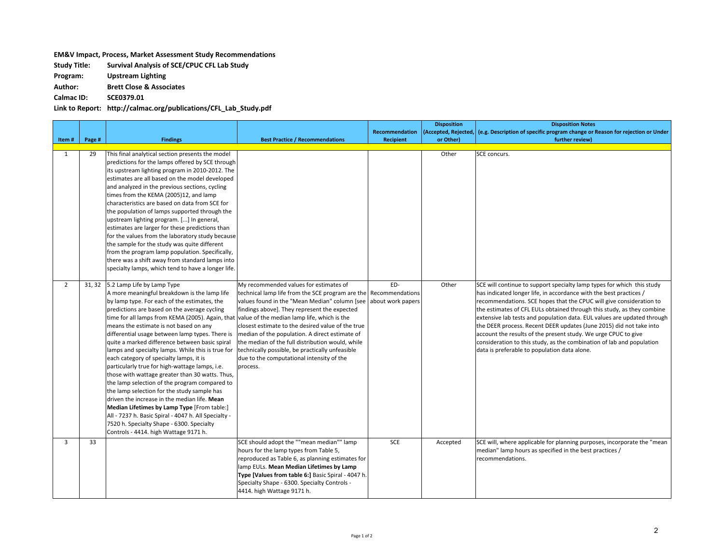## **EM&V** Impact, Process, Market Assessment Study Recommendations

**Study Title: Survival Analysis of SCE/CPUC CFL Lab Study**

**Program: Upstream Lighting**

**Author: Brett Close & Associates**

**Calmac ID: SCE0379.01**

**Link to Report: http://calmac.org/publications/CFL\_Lab\_Study.pdf**

|                |        |                                                                                                                                                                                                                                                                                                                                                                                                                                                                                                                                                                                                                                                                                                                                                                                                                                                                                                                                                                             |                                                                                                                                                                                                                                                                                                                                                                                                                                                                      |                                             | <b>Disposition</b>   | <b>Disposition Notes</b>                                                                                                                                                                                                                                                                                                                                                                                                                                                                                                                                                                                                                   |
|----------------|--------|-----------------------------------------------------------------------------------------------------------------------------------------------------------------------------------------------------------------------------------------------------------------------------------------------------------------------------------------------------------------------------------------------------------------------------------------------------------------------------------------------------------------------------------------------------------------------------------------------------------------------------------------------------------------------------------------------------------------------------------------------------------------------------------------------------------------------------------------------------------------------------------------------------------------------------------------------------------------------------|----------------------------------------------------------------------------------------------------------------------------------------------------------------------------------------------------------------------------------------------------------------------------------------------------------------------------------------------------------------------------------------------------------------------------------------------------------------------|---------------------------------------------|----------------------|--------------------------------------------------------------------------------------------------------------------------------------------------------------------------------------------------------------------------------------------------------------------------------------------------------------------------------------------------------------------------------------------------------------------------------------------------------------------------------------------------------------------------------------------------------------------------------------------------------------------------------------------|
|                |        |                                                                                                                                                                                                                                                                                                                                                                                                                                                                                                                                                                                                                                                                                                                                                                                                                                                                                                                                                                             |                                                                                                                                                                                                                                                                                                                                                                                                                                                                      | Recommendation                              | (Accepted, Rejected, | (e.g. Description of specific program change or Reason for rejection or Under                                                                                                                                                                                                                                                                                                                                                                                                                                                                                                                                                              |
| Item#          | Page # | <b>Findings</b>                                                                                                                                                                                                                                                                                                                                                                                                                                                                                                                                                                                                                                                                                                                                                                                                                                                                                                                                                             | <b>Best Practice / Recommendations</b>                                                                                                                                                                                                                                                                                                                                                                                                                               | <b>Recipient</b>                            | or Other)            | further review)                                                                                                                                                                                                                                                                                                                                                                                                                                                                                                                                                                                                                            |
| $\mathbf{1}$   | 29     | This final analytical section presents the model<br>predictions for the lamps offered by SCE through<br>its upstream lighting program in 2010-2012. The<br>estimates are all based on the model developed<br>and analyzed in the previous sections, cycling<br>times from the KEMA (2005)12, and lamp<br>characteristics are based on data from SCE for<br>the population of lamps supported through the<br>upstream lighting program. [] In general,<br>estimates are larger for these predictions than<br>for the values from the laboratory study because<br>the sample for the study was quite different<br>from the program lamp population. Specifically,<br>there was a shift away from standard lamps into<br>specialty lamps, which tend to have a longer life.                                                                                                                                                                                                    |                                                                                                                                                                                                                                                                                                                                                                                                                                                                      |                                             | Other                | SCE concurs.                                                                                                                                                                                                                                                                                                                                                                                                                                                                                                                                                                                                                               |
| $\overline{2}$ | 31, 32 | 5.2 Lamp Life by Lamp Type<br>A more meaningful breakdown is the lamp life<br>by lamp type. For each of the estimates, the<br>predictions are based on the average cycling<br>time for all lamps from KEMA (2005). Again, that value of the median lamp life, which is the<br>means the estimate is not based on any<br>differential usage between lamp types. There is<br>quite a marked difference between basic spiral<br>lamps and specialty lamps. While this is true for<br>each category of specialty lamps, it is<br>particularly true for high-wattage lamps, i.e.<br>those with wattage greater than 30 watts. Thus,<br>the lamp selection of the program compared to<br>the lamp selection for the study sample has<br>driven the increase in the median life. Mean<br>Median Lifetimes by Lamp Type [From table:]<br>All - 7237 h. Basic Spiral - 4047 h. All Specialty -<br>7520 h. Specialty Shape - 6300. Specialty<br>Controls - 4414. high Wattage 9171 h. | My recommended values for estimates of<br>technical lamp life from the SCE program are the<br>values found in the "Mean Median" column [see ]<br>findings above]. They represent the expected<br>closest estimate to the desired value of the true<br>median of the population. A direct estimate of<br>the median of the full distribution would, while<br>technically possible, be practically unfeasible<br>due to the computational intensity of the<br>process. | ED-<br>Recommendations<br>about work papers | Other                | SCE will continue to support specialty lamp types for which this study<br>has indicated longer life, in accordance with the best practices /<br>recommendations. SCE hopes that the CPUC will give consideration to<br>the estimates of CFL EULs obtained through this study, as they combine<br>extensive lab tests and population data. EUL values are updated through<br>the DEER process. Recent DEER updates (June 2015) did not take into<br>account the results of the present study. We urge CPUC to give<br>consideration to this study, as the combination of lab and population<br>data is preferable to population data alone. |
| 3              | 33     |                                                                                                                                                                                                                                                                                                                                                                                                                                                                                                                                                                                                                                                                                                                                                                                                                                                                                                                                                                             | SCE should adopt the ""mean median"" lamp<br>hours for the lamp types from Table 5,<br>reproduced as Table 6, as planning estimates for<br>lamp EULs. Mean Median Lifetimes by Lamp<br>Type [Values from table 6:] Basic Spiral - 4047 h.<br>Specialty Shape - 6300. Specialty Controls -<br>4414. high Wattage 9171 h.                                                                                                                                              | <b>SCE</b>                                  | Accepted             | SCE will, where applicable for planning purposes, incorporate the "mean<br>median" lamp hours as specified in the best practices /<br>recommendations.                                                                                                                                                                                                                                                                                                                                                                                                                                                                                     |